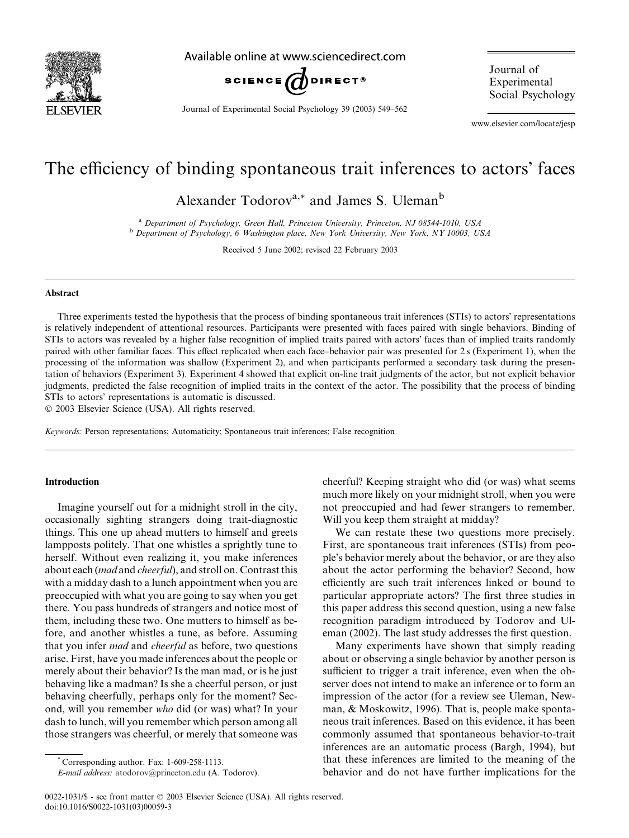

Available online at www.sciencedirect.com



Journal of Experimental Social Psychology 39 (2003) 549–562

Journal of Experimental Social Psychology

www.elsevier.com/locate/jesp

# The efficiency of binding spontaneous trait inferences to actors' faces

Alexander Todorov<sup>a,\*</sup> and James S. Uleman<sup>b</sup>

<sup>a</sup> Department of Psychology, Green Hall, Princeton University, Princeton, NJ 08544-1010, USA <sup>b</sup> Department of Psychology, 6 Washington place, New York University, New York, NY 10003, USA

Received 5 June 2002; revised 22 February 2003

#### Abstract

Three experiments tested the hypothesis that the process of binding spontaneous trait inferences (STIs) to actors' representations is relatively independent of attentional resources. Participants were presented with faces paired with single behaviors. Binding of STIs to actors was revealed by a higher false recognition of implied traits paired with actors' faces than of implied traits randomly paired with other familiar faces. This effect replicated when each face–behavior pair was presented for 2 s (Experiment 1), when the processing of the information was shallow (Experiment 2), and when participants performed a secondary task during the presentation of behaviors (Experiment 3). Experiment 4 showed that explicit on-line trait judgments of the actor, but not explicit behavior judgments, predicted the false recognition of implied traits in the context of the actor. The possibility that the process of binding STIs to actors' representations is automatic is discussed.

2003 Elsevier Science (USA). All rights reserved.

Keywords: Person representations; Automaticity; Spontaneous trait inferences; False recognition

# Introduction

Imagine yourself out for a midnight stroll in the city, occasionally sighting strangers doing trait-diagnostic things. This one up ahead mutters to himself and greets lampposts politely. That one whistles a sprightly tune to herself. Without even realizing it, you make inferences about each (mad and cheerful), and stroll on. Contrast this with a midday dash to a lunch appointment when you are preoccupied with what you are going to say when you get there. You pass hundreds of strangers and notice most of them, including these two. One mutters to himself as before, and another whistles a tune, as before. Assuming that you infer mad and cheerful as before, two questions arise. First, have you made inferences about the people or merely about their behavior? Is the man mad, or is he just behaving like a madman? Is she a cheerful person, or just behaving cheerfully, perhaps only for the moment? Second, will you remember who did (or was) what? In your dash to lunch, will you remember which person among all those strangers was cheerful, or merely that someone was

cheerful? Keeping straight who did (or was) what seems much more likely on your midnight stroll, when you were not preoccupied and had fewer strangers to remember. Will you keep them straight at midday?

We can restate these two questions more precisely. First, are spontaneous trait inferences (STIs) from people's behavior merely about the behavior, or are they also about the actor performing the behavior? Second, how efficiently are such trait inferences linked or bound to particular appropriate actors? The first three studies in this paper address this second question, using a new false recognition paradigm introduced by Todorov and Uleman (2002). The last study addresses the first question.

Many experiments have shown that simply reading about or observing a single behavior by another person is sufficient to trigger a trait inference, even when the observer does not intend to make an inference or to form an impression of the actor (for a review see Uleman, Newman, & Moskowitz, 1996). That is, people make spontaneous trait inferences. Based on this evidence, it has been commonly assumed that spontaneous behavior-to-trait inferences are an automatic process (Bargh, 1994), but that these inferences are limited to the meaning of the behavior and do not have further implications for the

<sup>\*</sup> Corresponding author. Fax: 1-609-258-1113.

E-mail address: [atodorov@princeton.edu](mail to: atodorov@princeton.edu) (A. Todorov).

<sup>0022-1031/\$ -</sup> see front matter  $\odot$  2003 Elsevier Science (USA). All rights reserved. doi:10.1016/S0022-1031(03)00059-3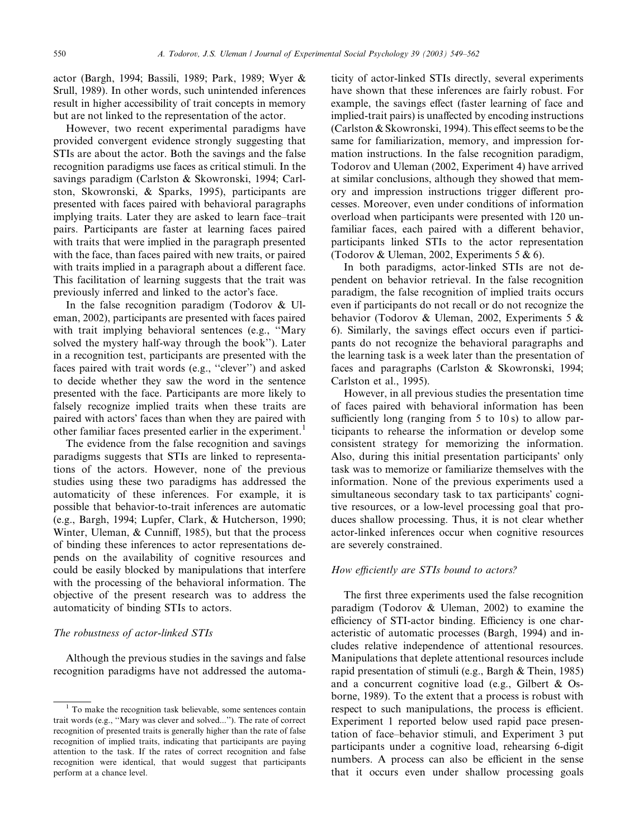actor (Bargh, 1994; Bassili, 1989; Park, 1989; Wyer & Srull, 1989). In other words, such unintended inferences result in higher accessibility of trait concepts in memory but are not linked to the representation of the actor.

However, two recent experimental paradigms have provided convergent evidence strongly suggesting that STIs are about the actor. Both the savings and the false recognition paradigms use faces as critical stimuli. In the savings paradigm (Carlston & Skowronski, 1994; Carlston, Skowronski, & Sparks, 1995), participants are presented with faces paired with behavioral paragraphs implying traits. Later they are asked to learn face–trait pairs. Participants are faster at learning faces paired with traits that were implied in the paragraph presented with the face, than faces paired with new traits, or paired with traits implied in a paragraph about a different face. This facilitation of learning suggests that the trait was previously inferred and linked to the actor's face.

In the false recognition paradigm (Todorov & Uleman, 2002), participants are presented with faces paired with trait implying behavioral sentences (e.g., ''Mary solved the mystery half-way through the book''). Later in a recognition test, participants are presented with the faces paired with trait words (e.g., ''clever'') and asked to decide whether they saw the word in the sentence presented with the face. Participants are more likely to falsely recognize implied traits when these traits are paired with actors' faces than when they are paired with other familiar faces presented earlier in the experiment.<sup>1</sup>

The evidence from the false recognition and savings paradigms suggests that STIs are linked to representations of the actors. However, none of the previous studies using these two paradigms has addressed the automaticity of these inferences. For example, it is possible that behavior-to-trait inferences are automatic (e.g., Bargh, 1994; Lupfer, Clark, & Hutcherson, 1990; Winter, Uleman, & Cunniff, 1985), but that the process of binding these inferences to actor representations depends on the availability of cognitive resources and could be easily blocked by manipulations that interfere with the processing of the behavioral information. The objective of the present research was to address the automaticity of binding STIs to actors.

#### The robustness of actor-linked STIs

Although the previous studies in the savings and false recognition paradigms have not addressed the automaticity of actor-linked STIs directly, several experiments have shown that these inferences are fairly robust. For example, the savings effect (faster learning of face and implied-trait pairs) is unaffected by encoding instructions (Carlston & Skowronski, 1994). This effect seems to be the same for familiarization, memory, and impression formation instructions. In the false recognition paradigm, Todorov and Uleman (2002, Experiment 4) have arrived at similar conclusions, although they showed that memory and impression instructions trigger different processes. Moreover, even under conditions of information overload when participants were presented with 120 unfamiliar faces, each paired with a different behavior, participants linked STIs to the actor representation (Todorov & Uleman, 2002, Experiments 5 & 6).

In both paradigms, actor-linked STIs are not dependent on behavior retrieval. In the false recognition paradigm, the false recognition of implied traits occurs even if participants do not recall or do not recognize the behavior (Todorov & Uleman, 2002, Experiments 5 & 6). Similarly, the savings effect occurs even if participants do not recognize the behavioral paragraphs and the learning task is a week later than the presentation of faces and paragraphs (Carlston & Skowronski, 1994; Carlston et al., 1995).

However, in all previous studies the presentation time of faces paired with behavioral information has been sufficiently long (ranging from 5 to 10s) to allow participants to rehearse the information or develop some consistent strategy for memorizing the information. Also, during this initial presentation participants' only task was to memorize or familiarize themselves with the information. None of the previous experiments used a simultaneous secondary task to tax participants' cognitive resources, or a low-level processing goal that produces shallow processing. Thus, it is not clear whether actor-linked inferences occur when cognitive resources are severely constrained.

# How efficiently are STIs bound to actors?

The first three experiments used the false recognition paradigm (Todorov & Uleman, 2002) to examine the efficiency of STI-actor binding. Efficiency is one characteristic of automatic processes (Bargh, 1994) and includes relative independence of attentional resources. Manipulations that deplete attentional resources include rapid presentation of stimuli (e.g., Bargh & Thein, 1985) and a concurrent cognitive load (e.g., Gilbert & Osborne, 1989). To the extent that a process is robust with respect to such manipulations, the process is efficient. Experiment 1 reported below used rapid pace presentation of face–behavior stimuli, and Experiment 3 put participants under a cognitive load, rehearsing 6-digit numbers. A process can also be efficient in the sense that it occurs even under shallow processing goals

<sup>&</sup>lt;sup>1</sup> To make the recognition task believable, some sentences contain trait words (e.g., ''Mary was clever and solved...''). The rate of correct recognition of presented traits is generally higher than the rate of false recognition of implied traits, indicating that participants are paying attention to the task. If the rates of correct recognition and false recognition were identical, that would suggest that participants perform at a chance level.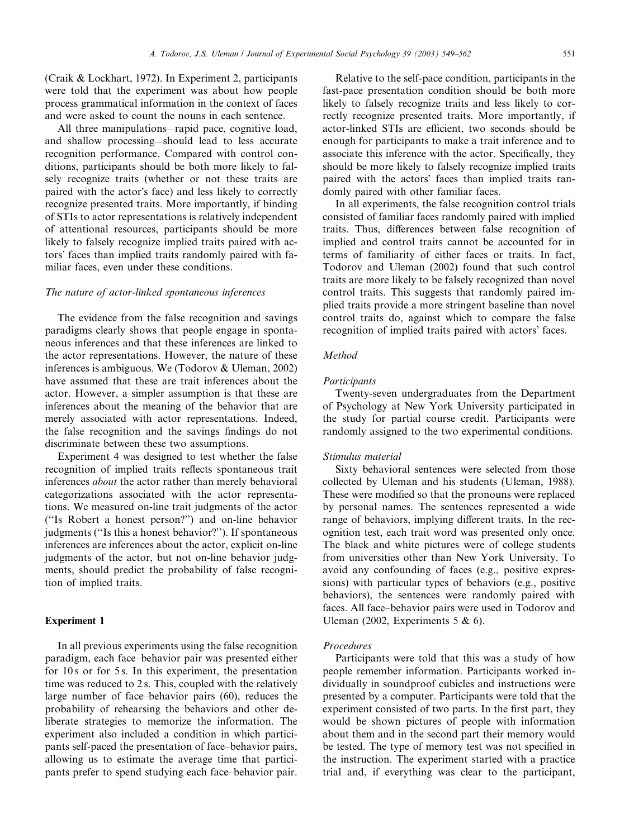(Craik & Lockhart, 1972). In Experiment 2, participants were told that the experiment was about how people process grammatical information in the context of faces and were asked to count the nouns in each sentence.

All three manipulations—rapid pace, cognitive load, and shallow processing—should lead to less accurate recognition performance. Compared with control conditions, participants should be both more likely to falsely recognize traits (whether or not these traits are paired with the actor's face) and less likely to correctly recognize presented traits. More importantly, if binding of STIs to actor representations is relatively independent of attentional resources, participants should be more likely to falsely recognize implied traits paired with actors' faces than implied traits randomly paired with familiar faces, even under these conditions.

# The nature of actor-linked spontaneous inferences

The evidence from the false recognition and savings paradigms clearly shows that people engage in spontaneous inferences and that these inferences are linked to the actor representations. However, the nature of these inferences is ambiguous. We (Todorov & Uleman, 2002) have assumed that these are trait inferences about the actor. However, a simpler assumption is that these are inferences about the meaning of the behavior that are merely associated with actor representations. Indeed, the false recognition and the savings findings do not discriminate between these two assumptions.

Experiment 4 was designed to test whether the false recognition of implied traits reflects spontaneous trait inferences about the actor rather than merely behavioral categorizations associated with the actor representations. We measured on-line trait judgments of the actor (''Is Robert a honest person?'') and on-line behavior judgments (''Is this a honest behavior?''). If spontaneous inferences are inferences about the actor, explicit on-line judgments of the actor, but not on-line behavior judgments, should predict the probability of false recognition of implied traits.

# Experiment 1

In all previous experiments using the false recognition paradigm, each face–behavior pair was presented either for 10 s or for 5 s. In this experiment, the presentation time was reduced to 2 s. This, coupled with the relatively large number of face–behavior pairs (60), reduces the probability of rehearsing the behaviors and other deliberate strategies to memorize the information. The experiment also included a condition in which participants self-paced the presentation of face–behavior pairs, allowing us to estimate the average time that participants prefer to spend studying each face–behavior pair.

Relative to the self-pace condition, participants in the fast-pace presentation condition should be both more likely to falsely recognize traits and less likely to correctly recognize presented traits. More importantly, if actor-linked STIs are efficient, two seconds should be enough for participants to make a trait inference and to associate this inference with the actor. Specifically, they should be more likely to falsely recognize implied traits paired with the actors' faces than implied traits randomly paired with other familiar faces.

In all experiments, the false recognition control trials consisted of familiar faces randomly paired with implied traits. Thus, differences between false recognition of implied and control traits cannot be accounted for in terms of familiarity of either faces or traits. In fact, Todorov and Uleman (2002) found that such control traits are more likely to be falsely recognized than novel control traits. This suggests that randomly paired implied traits provide a more stringent baseline than novel control traits do, against which to compare the false recognition of implied traits paired with actors' faces.

# Method

#### Participants

Twenty-seven undergraduates from the Department of Psychology at New York University participated in the study for partial course credit. Participants were randomly assigned to the two experimental conditions.

# Stimulus material

Sixty behavioral sentences were selected from those collected by Uleman and his students (Uleman, 1988). These were modified so that the pronouns were replaced by personal names. The sentences represented a wide range of behaviors, implying different traits. In the recognition test, each trait word was presented only once. The black and white pictures were of college students from universities other than New York University. To avoid any confounding of faces (e.g., positive expressions) with particular types of behaviors (e.g., positive behaviors), the sentences were randomly paired with faces. All face–behavior pairs were used in Todorov and Uleman (2002, Experiments 5  $\&$  6).

#### Procedures

Participants were told that this was a study of how people remember information. Participants worked individually in soundproof cubicles and instructions were presented by a computer. Participants were told that the experiment consisted of two parts. In the first part, they would be shown pictures of people with information about them and in the second part their memory would be tested. The type of memory test was not specified in the instruction. The experiment started with a practice trial and, if everything was clear to the participant,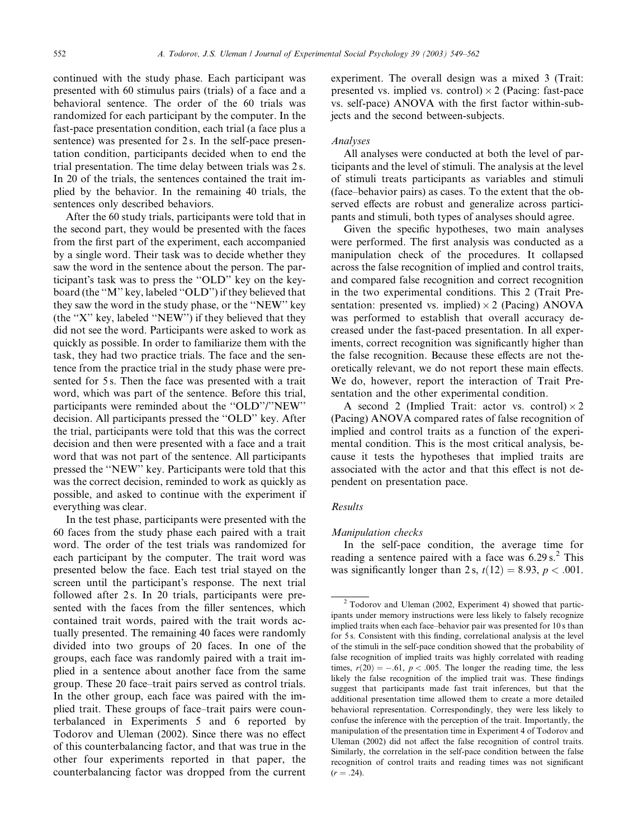continued with the study phase. Each participant was presented with 60 stimulus pairs (trials) of a face and a behavioral sentence. The order of the 60 trials was randomized for each participant by the computer. In the fast-pace presentation condition, each trial (a face plus a sentence) was presented for 2 s. In the self-pace presentation condition, participants decided when to end the trial presentation. The time delay between trials was 2 s. In 20 of the trials, the sentences contained the trait implied by the behavior. In the remaining 40 trials, the sentences only described behaviors.

After the 60 study trials, participants were told that in the second part, they would be presented with the faces from the first part of the experiment, each accompanied by a single word. Their task was to decide whether they saw the word in the sentence about the person. The participant's task was to press the "OLD" key on the keyboard (the ''M'' key, labeled ''OLD'') if they believed that they saw the word in the study phase, or the ''NEW'' key (the ''X'' key, labeled ''NEW'') if they believed that they did not see the word. Participants were asked to work as quickly as possible. In order to familiarize them with the task, they had two practice trials. The face and the sentence from the practice trial in the study phase were presented for 5 s. Then the face was presented with a trait word, which was part of the sentence. Before this trial, participants were reminded about the ''OLD''/''NEW'' decision. All participants pressed the ''OLD'' key. After the trial, participants were told that this was the correct decision and then were presented with a face and a trait word that was not part of the sentence. All participants pressed the ''NEW'' key. Participants were told that this was the correct decision, reminded to work as quickly as possible, and asked to continue with the experiment if everything was clear.

In the test phase, participants were presented with the 60 faces from the study phase each paired with a trait word. The order of the test trials was randomized for each participant by the computer. The trait word was presented below the face. Each test trial stayed on the screen until the participant's response. The next trial followed after 2s. In 20 trials, participants were presented with the faces from the filler sentences, which contained trait words, paired with the trait words actually presented. The remaining 40 faces were randomly divided into two groups of 20 faces. In one of the groups, each face was randomly paired with a trait implied in a sentence about another face from the same group. These 20 face–trait pairs served as control trials. In the other group, each face was paired with the implied trait. These groups of face–trait pairs were counterbalanced in Experiments 5 and 6 reported by Todorov and Uleman (2002). Since there was no effect of this counterbalancing factor, and that was true in the other four experiments reported in that paper, the counterbalancing factor was dropped from the current

experiment. The overall design was a mixed 3 (Trait: presented vs. implied vs. control)  $\times$  2 (Pacing: fast-pace vs. self-pace) ANOVA with the first factor within-subjects and the second between-subjects.

#### Analyses

All analyses were conducted at both the level of participants and the level of stimuli. The analysis at the level of stimuli treats participants as variables and stimuli (face–behavior pairs) as cases. To the extent that the observed effects are robust and generalize across participants and stimuli, both types of analyses should agree.

Given the specific hypotheses, two main analyses were performed. The first analysis was conducted as a manipulation check of the procedures. It collapsed across the false recognition of implied and control traits, and compared false recognition and correct recognition in the two experimental conditions. This 2 (Trait Presentation: presented vs. implied)  $\times$  2 (Pacing) ANOVA was performed to establish that overall accuracy decreased under the fast-paced presentation. In all experiments, correct recognition was significantly higher than the false recognition. Because these effects are not theoretically relevant, we do not report these main effects. We do, however, report the interaction of Trait Presentation and the other experimental condition.

A second 2 (Implied Trait: actor vs. control)  $\times$  2 (Pacing) ANOVA compared rates of false recognition of implied and control traits as a function of the experimental condition. This is the most critical analysis, because it tests the hypotheses that implied traits are associated with the actor and that this effect is not dependent on presentation pace.

# Results

#### Manipulation checks

In the self-pace condition, the average time for reading a sentence paired with a face was  $6.29 \text{ s.}^2$ . This was significantly longer than 2 s,  $t(12) = 8.93$ ,  $p < .001$ .

<sup>2</sup> Todorov and Uleman (2002, Experiment 4) showed that participants under memory instructions were less likely to falsely recognize implied traits when each face–behavior pair was presented for 10 s than for 5 s. Consistent with this finding, correlational analysis at the level of the stimuli in the self-pace condition showed that the probability of false recognition of implied traits was highly correlated with reading times,  $r(20) = -.61$ ,  $p < .005$ . The longer the reading time, the less likely the false recognition of the implied trait was. These findings suggest that participants made fast trait inferences, but that the additional presentation time allowed them to create a more detailed behavioral representation. Correspondingly, they were less likely to confuse the inference with the perception of the trait. Importantly, the manipulation of the presentation time in Experiment 4 of Todorov and Uleman (2002) did not affect the false recognition of control traits. Similarly, the correlation in the self-pace condition between the false recognition of control traits and reading times was not significant  $(r = .24)$ .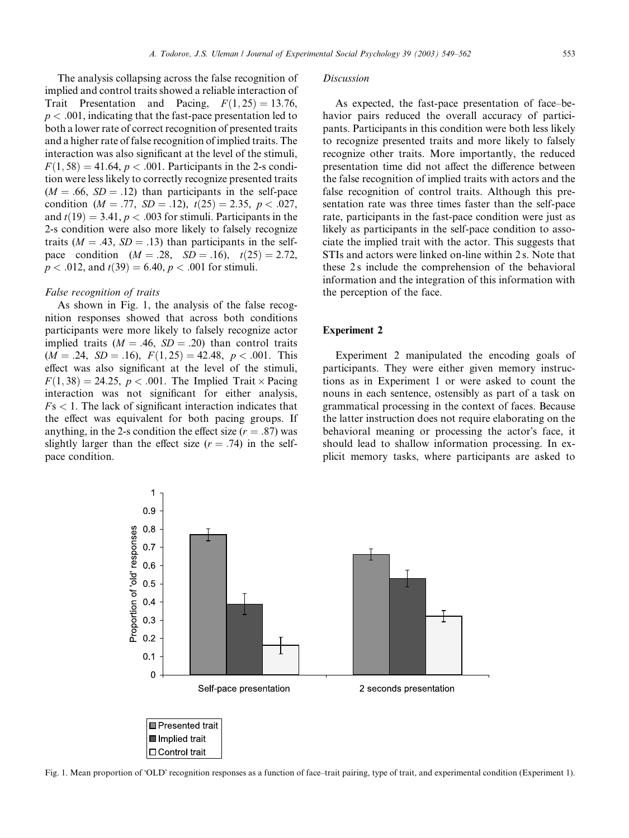The analysis collapsing across the false recognition of implied and control traits showed a reliable interaction of Trait Presentation and Pacing,  $F(1, 25) = 13.76$ ,  $p < .001$ , indicating that the fast-pace presentation led to both a lower rate of correct recognition of presented traits and a higher rate of false recognition of implied traits. The interaction was also significant at the level of the stimuli,  $F(1, 58) = 41.64, p < .001$ . Participants in the 2-s condition were less likely to correctly recognize presented traits  $(M = .66, SD = .12)$  than participants in the self-pace condition ( $M = .77$ ,  $SD = .12$ ),  $t(25) = 2.35$ ,  $p < .027$ , and  $t(19) = 3.41$ ,  $p < .003$  for stimuli. Participants in the 2-s condition were also more likely to falsely recognize traits ( $M = .43$ ,  $SD = .13$ ) than participants in the selfpace condition  $(M = .28, SD = .16), t(25) = 2.72,$  $p < .012$ , and  $t(39) = 6.40$ ,  $p < .001$  for stimuli.

#### False recognition of traits

As shown in Fig. 1, the analysis of the false recognition responses showed that across both conditions participants were more likely to falsely recognize actor implied traits ( $M = .46$ ,  $SD = .20$ ) than control traits  $(M = .24, SD = .16), F(1,25) = 42.48, p < .001$ . This effect was also significant at the level of the stimuli,  $F(1, 38) = 24.25$ ,  $p < .001$ . The Implied Trait  $\times$  Pacing interaction was not significant for either analysis,  $Fs < 1$ . The lack of significant interaction indicates that the effect was equivalent for both pacing groups. If anything, in the 2-s condition the effect size  $(r = .87)$  was slightly larger than the effect size  $(r = .74)$  in the selfpace condition.

#### Discussion

As expected, the fast-pace presentation of face–behavior pairs reduced the overall accuracy of participants. Participants in this condition were both less likely to recognize presented traits and more likely to falsely recognize other traits. More importantly, the reduced presentation time did not affect the difference between the false recognition of implied traits with actors and the false recognition of control traits. Although this presentation rate was three times faster than the self-pace rate, participants in the fast-pace condition were just as likely as participants in the self-pace condition to associate the implied trait with the actor. This suggests that STIs and actors were linked on-line within 2 s. Note that these 2 s include the comprehension of the behavioral information and the integration of this information with the perception of the face.

# Experiment 2

Experiment 2 manipulated the encoding goals of participants. They were either given memory instructions as in Experiment 1 or were asked to count the nouns in each sentence, ostensibly as part of a task on grammatical processing in the context of faces. Because the latter instruction does not require elaborating on the behavioral meaning or processing the actor's face, it should lead to shallow information processing. In explicit memory tasks, where participants are asked to



Fig. 1. Mean proportion of 'OLD' recognition responses as a function of face–trait pairing, type of trait, and experimental condition (Experiment 1).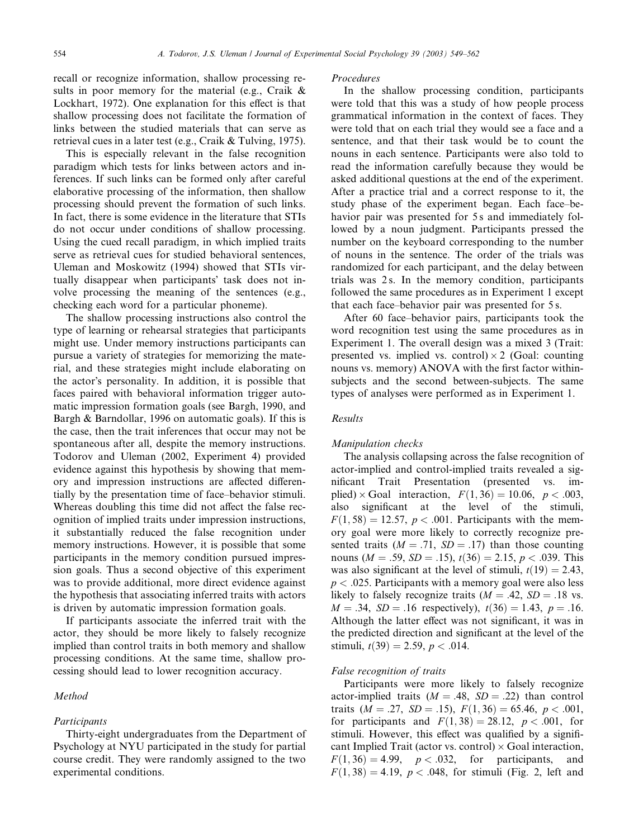# recall or recognize information, shallow processing results in poor memory for the material (e.g., Craik & Lockhart, 1972). One explanation for this effect is that shallow processing does not facilitate the formation of links between the studied materials that can serve as retrieval cues in a later test (e.g., Craik & Tulving, 1975).

This is especially relevant in the false recognition paradigm which tests for links between actors and inferences. If such links can be formed only after careful elaborative processing of the information, then shallow processing should prevent the formation of such links. In fact, there is some evidence in the literature that STIs do not occur under conditions of shallow processing. Using the cued recall paradigm, in which implied traits serve as retrieval cues for studied behavioral sentences, Uleman and Moskowitz (1994) showed that STIs virtually disappear when participants' task does not involve processing the meaning of the sentences (e.g., checking each word for a particular phoneme).

The shallow processing instructions also control the type of learning or rehearsal strategies that participants might use. Under memory instructions participants can pursue a variety of strategies for memorizing the material, and these strategies might include elaborating on the actor's personality. In addition, it is possible that faces paired with behavioral information trigger automatic impression formation goals (see Bargh, 1990, and Bargh & Barndollar, 1996 on automatic goals). If this is the case, then the trait inferences that occur may not be spontaneous after all, despite the memory instructions. Todorov and Uleman (2002, Experiment 4) provided evidence against this hypothesis by showing that memory and impression instructions are affected differentially by the presentation time of face–behavior stimuli. Whereas doubling this time did not affect the false recognition of implied traits under impression instructions, it substantially reduced the false recognition under memory instructions. However, it is possible that some participants in the memory condition pursued impression goals. Thus a second objective of this experiment was to provide additional, more direct evidence against the hypothesis that associating inferred traits with actors is driven by automatic impression formation goals.

If participants associate the inferred trait with the actor, they should be more likely to falsely recognize implied than control traits in both memory and shallow processing conditions. At the same time, shallow processing should lead to lower recognition accuracy.

# Method

#### **Participants**

Thirty-eight undergraduates from the Department of Psychology at NYU participated in the study for partial course credit. They were randomly assigned to the two experimental conditions.

#### Procedures

In the shallow processing condition, participants were told that this was a study of how people process grammatical information in the context of faces. They were told that on each trial they would see a face and a sentence, and that their task would be to count the nouns in each sentence. Participants were also told to read the information carefully because they would be asked additional questions at the end of the experiment. After a practice trial and a correct response to it, the study phase of the experiment began. Each face–behavior pair was presented for 5s and immediately followed by a noun judgment. Participants pressed the number on the keyboard corresponding to the number of nouns in the sentence. The order of the trials was randomized for each participant, and the delay between trials was 2 s. In the memory condition, participants followed the same procedures as in Experiment 1 except that each face–behavior pair was presented for 5 s.

After 60 face–behavior pairs, participants took the word recognition test using the same procedures as in Experiment 1. The overall design was a mixed 3 (Trait: presented vs. implied vs. control)  $\times$  2 (Goal: counting nouns vs. memory) ANOVA with the first factor withinsubjects and the second between-subjects. The same types of analyses were performed as in Experiment 1.

# Results

## Manipulation checks

The analysis collapsing across the false recognition of actor-implied and control-implied traits revealed a significant Trait Presentation (presented vs. implied)  $\times$  Goal interaction,  $F(1, 36) = 10.06$ ,  $p < .003$ , also significant at the level of the stimuli,  $F(1, 58) = 12.57$ ,  $p < .001$ . Participants with the memory goal were more likely to correctly recognize presented traits ( $M = .71$ ,  $SD = .17$ ) than those counting nouns ( $M = .59$ ,  $SD = .15$ ),  $t(36) = 2.15$ ,  $p < .039$ . This was also significant at the level of stimuli,  $t(19) = 2.43$ ,  $p < .025$ . Participants with a memory goal were also less likely to falsely recognize traits  $(M = .42, SD = .18$  vs.  $M = .34$ ,  $SD = .16$  respectively),  $t(36) = 1.43$ ,  $p = .16$ . Although the latter effect was not significant, it was in the predicted direction and significant at the level of the stimuli,  $t(39) = 2.59$ ,  $p < .014$ .

# False recognition of traits

Participants were more likely to falsely recognize actor-implied traits ( $M = .48$ ,  $SD = .22$ ) than control traits  $(M = .27, SD = .15), F(1,36) = 65.46, p < .001,$ for participants and  $F(1, 38) = 28.12$ ,  $p < .001$ , for stimuli. However, this effect was qualified by a significant Implied Trait (actor vs. control)  $\times$  Goal interaction,  $F(1, 36) = 4.99$ ,  $p < .032$ , for participants, and  $F(1, 38) = 4.19$ ,  $p < .048$ , for stimuli (Fig. 2, left and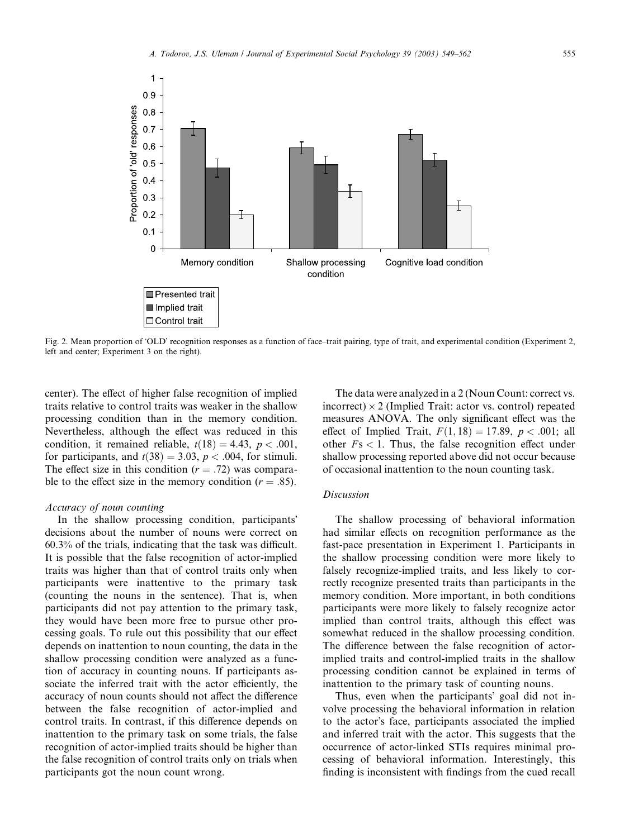

Fig. 2. Mean proportion of 'OLD' recognition responses as a function of face–trait pairing, type of trait, and experimental condition (Experiment 2, left and center; Experiment 3 on the right).

center). The effect of higher false recognition of implied traits relative to control traits was weaker in the shallow processing condition than in the memory condition. Nevertheless, although the effect was reduced in this condition, it remained reliable,  $t(18) = 4.43$ ,  $p < .001$ , for participants, and  $t(38) = 3.03$ ,  $p < .004$ , for stimuli. The effect size in this condition  $(r = .72)$  was comparable to the effect size in the memory condition ( $r = .85$ ).

#### Accuracy of noun counting

In the shallow processing condition, participants' decisions about the number of nouns were correct on 60.3% of the trials, indicating that the task was difficult. It is possible that the false recognition of actor-implied traits was higher than that of control traits only when participants were inattentive to the primary task (counting the nouns in the sentence). That is, when participants did not pay attention to the primary task, they would have been more free to pursue other processing goals. To rule out this possibility that our effect depends on inattention to noun counting, the data in the shallow processing condition were analyzed as a function of accuracy in counting nouns. If participants associate the inferred trait with the actor efficiently, the accuracy of noun counts should not affect the difference between the false recognition of actor-implied and control traits. In contrast, if this difference depends on inattention to the primary task on some trials, the false recognition of actor-implied traits should be higher than the false recognition of control traits only on trials when participants got the noun count wrong.

The data were analyzed in a 2 (Noun Count: correct vs. incorrect)  $\times$  2 (Implied Trait: actor vs. control) repeated measures ANOVA. The only significant effect was the effect of Implied Trait,  $F(1, 18) = 17.89$ ,  $p < .001$ ; all other  $Fs < 1$ . Thus, the false recognition effect under shallow processing reported above did not occur because of occasional inattention to the noun counting task.

# Discussion

The shallow processing of behavioral information had similar effects on recognition performance as the fast-pace presentation in Experiment 1. Participants in the shallow processing condition were more likely to falsely recognize-implied traits, and less likely to correctly recognize presented traits than participants in the memory condition. More important, in both conditions participants were more likely to falsely recognize actor implied than control traits, although this effect was somewhat reduced in the shallow processing condition. The difference between the false recognition of actorimplied traits and control-implied traits in the shallow processing condition cannot be explained in terms of inattention to the primary task of counting nouns.

Thus, even when the participants' goal did not involve processing the behavioral information in relation to the actor's face, participants associated the implied and inferred trait with the actor. This suggests that the occurrence of actor-linked STIs requires minimal processing of behavioral information. Interestingly, this finding is inconsistent with findings from the cued recall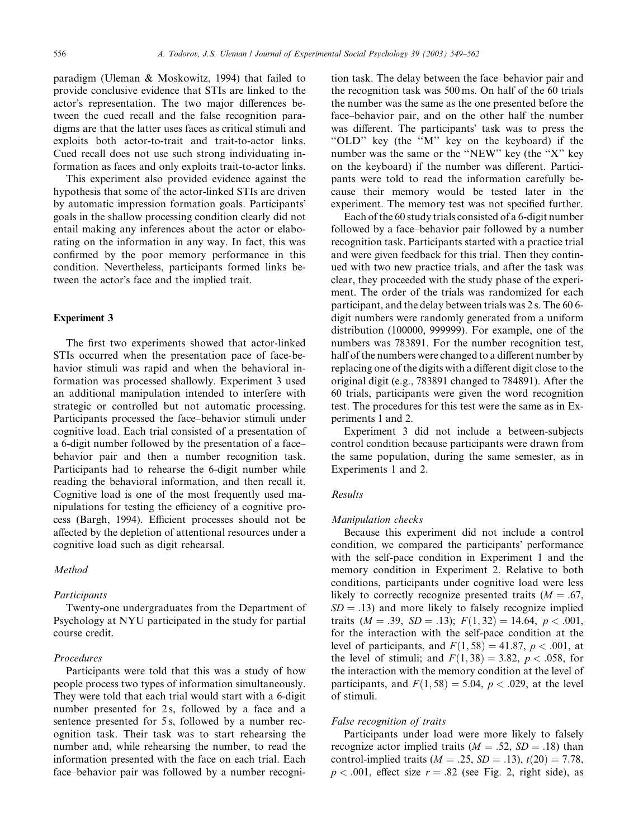paradigm (Uleman & Moskowitz, 1994) that failed to provide conclusive evidence that STIs are linked to the actor's representation. The two major differences between the cued recall and the false recognition paradigms are that the latter uses faces as critical stimuli and exploits both actor-to-trait and trait-to-actor links. Cued recall does not use such strong individuating information as faces and only exploits trait-to-actor links.

This experiment also provided evidence against the hypothesis that some of the actor-linked STIs are driven by automatic impression formation goals. Participants goals in the shallow processing condition clearly did not entail making any inferences about the actor or elaborating on the information in any way. In fact, this was confirmed by the poor memory performance in this condition. Nevertheless, participants formed links between the actor's face and the implied trait.

#### Experiment 3

The first two experiments showed that actor-linked STIs occurred when the presentation pace of face-behavior stimuli was rapid and when the behavioral information was processed shallowly. Experiment 3 used an additional manipulation intended to interfere with strategic or controlled but not automatic processing. Participants processed the face–behavior stimuli under cognitive load. Each trial consisted of a presentation of a 6-digit number followed by the presentation of a face– behavior pair and then a number recognition task. Participants had to rehearse the 6-digit number while reading the behavioral information, and then recall it. Cognitive load is one of the most frequently used manipulations for testing the efficiency of a cognitive process (Bargh, 1994). Efficient processes should not be affected by the depletion of attentional resources under a cognitive load such as digit rehearsal.

# Method

# Participants

Twenty-one undergraduates from the Department of Psychology at NYU participated in the study for partial course credit.

## Procedures

Participants were told that this was a study of how people process two types of information simultaneously. They were told that each trial would start with a 6-digit number presented for 2s, followed by a face and a sentence presented for 5 s, followed by a number recognition task. Their task was to start rehearsing the number and, while rehearsing the number, to read the information presented with the face on each trial. Each face–behavior pair was followed by a number recognition task. The delay between the face–behavior pair and the recognition task was 500 ms. On half of the 60 trials the number was the same as the one presented before the face–behavior pair, and on the other half the number was different. The participants' task was to press the "OLD" key (the "M" key on the keyboard) if the number was the same or the ''NEW'' key (the ''X'' key on the keyboard) if the number was different. Participants were told to read the information carefully because their memory would be tested later in the experiment. The memory test was not specified further.

Each of the 60 study trials consisted of a 6-digit number followed by a face–behavior pair followed by a number recognition task. Participants started with a practice trial and were given feedback for this trial. Then they continued with two new practice trials, and after the task was clear, they proceeded with the study phase of the experiment. The order of the trials was randomized for each participant, and the delay between trials was 2 s. The 60 6 digit numbers were randomly generated from a uniform distribution (100000, 999999). For example, one of the numbers was 783891. For the number recognition test, half of the numbers were changed to a different number by replacing one of the digits with a different digit close to the original digit (e.g., 783891 changed to 784891). After the 60 trials, participants were given the word recognition test. The procedures for this test were the same as in Experiments 1 and 2.

Experiment 3 did not include a between-subjects control condition because participants were drawn from the same population, during the same semester, as in Experiments 1 and 2.

## Results

#### Manipulation checks

Because this experiment did not include a control condition, we compared the participants' performance with the self-pace condition in Experiment 1 and the memory condition in Experiment 2. Relative to both conditions, participants under cognitive load were less likely to correctly recognize presented traits  $(M = .67, )$  $SD = .13$ ) and more likely to falsely recognize implied traits ( $M = .39$ ,  $SD = .13$ );  $F(1, 32) = 14.64$ ,  $p < .001$ , for the interaction with the self-pace condition at the level of participants, and  $F(1, 58) = 41.87$ ,  $p < .001$ , at the level of stimuli; and  $F(1, 38) = 3.82, p < .058$ , for the interaction with the memory condition at the level of participants, and  $F(1, 58) = 5.04$ ,  $p < .029$ , at the level of stimuli.

# False recognition of traits

Participants under load were more likely to falsely recognize actor implied traits ( $M = .52$ ,  $SD = .18$ ) than control-implied traits ( $M = .25$ ,  $SD = .13$ ),  $t(20) = 7.78$ ,  $p < .001$ , effect size  $r = .82$  (see Fig. 2, right side), as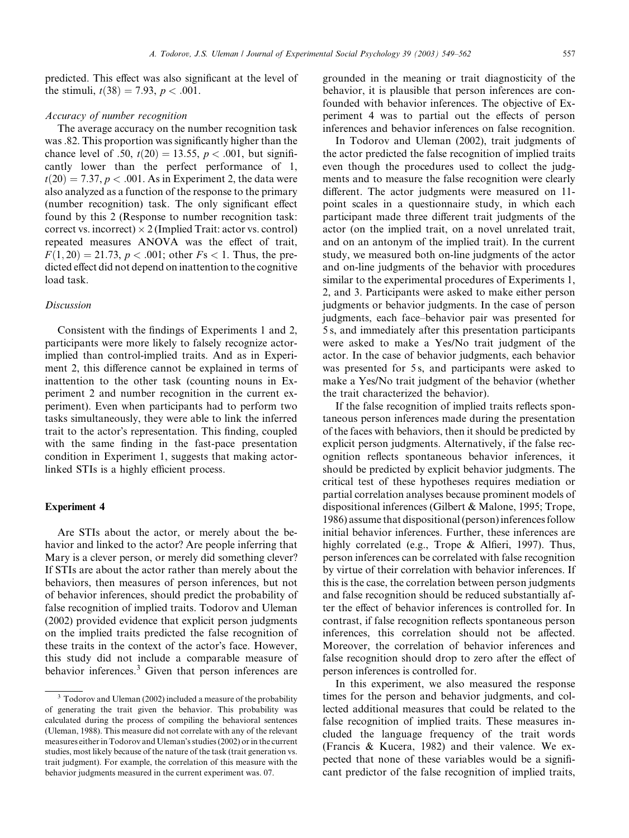predicted. This effect was also significant at the level of the stimuli,  $t(38) = 7.93$ ,  $p < .001$ .

#### Accuracy of number recognition

The average accuracy on the number recognition task was .82. This proportion was significantly higher than the chance level of .50,  $t(20) = 13.55$ ,  $p < .001$ , but significantly lower than the perfect performance of 1,  $t(20) = 7.37$ ,  $p < .001$ . As in Experiment 2, the data were also analyzed as a function of the response to the primary (number recognition) task. The only significant effect found by this 2 (Response to number recognition task: correct vs. incorrect)  $\times$  2 (Implied Trait: actor vs. control) repeated measures ANOVA was the effect of trait,  $F(1, 20) = 21.73$ ,  $p < .001$ ; other  $Fs < 1$ . Thus, the predicted effect did not depend on inattention to the cognitive load task.

# Discussion

Consistent with the findings of Experiments 1 and 2, participants were more likely to falsely recognize actorimplied than control-implied traits. And as in Experiment 2, this difference cannot be explained in terms of inattention to the other task (counting nouns in Experiment 2 and number recognition in the current experiment). Even when participants had to perform two tasks simultaneously, they were able to link the inferred trait to the actor's representation. This finding, coupled with the same finding in the fast-pace presentation condition in Experiment 1, suggests that making actorlinked STIs is a highly efficient process.

#### Experiment 4

Are STIs about the actor, or merely about the behavior and linked to the actor? Are people inferring that Mary is a clever person, or merely did something clever? If STIs are about the actor rather than merely about the behaviors, then measures of person inferences, but not of behavior inferences, should predict the probability of false recognition of implied traits. Todorov and Uleman (2002) provided evidence that explicit person judgments on the implied traits predicted the false recognition of these traits in the context of the actor's face. However, this study did not include a comparable measure of behavior inferences.<sup>3</sup> Given that person inferences are

grounded in the meaning or trait diagnosticity of the behavior, it is plausible that person inferences are confounded with behavior inferences. The objective of Experiment 4 was to partial out the effects of person inferences and behavior inferences on false recognition.

In Todorov and Uleman (2002), trait judgments of the actor predicted the false recognition of implied traits even though the procedures used to collect the judgments and to measure the false recognition were clearly different. The actor judgments were measured on 11 point scales in a questionnaire study, in which each participant made three different trait judgments of the actor (on the implied trait, on a novel unrelated trait, and on an antonym of the implied trait). In the current study, we measured both on-line judgments of the actor and on-line judgments of the behavior with procedures similar to the experimental procedures of Experiments 1, 2, and 3. Participants were asked to make either person judgments or behavior judgments. In the case of person judgments, each face–behavior pair was presented for 5 s, and immediately after this presentation participants were asked to make a Yes/No trait judgment of the actor. In the case of behavior judgments, each behavior was presented for 5s, and participants were asked to make a Yes/No trait judgment of the behavior (whether the trait characterized the behavior).

If the false recognition of implied traits reflects spontaneous person inferences made during the presentation of the faces with behaviors, then it should be predicted by explicit person judgments. Alternatively, if the false recognition reflects spontaneous behavior inferences, it should be predicted by explicit behavior judgments. The critical test of these hypotheses requires mediation or partial correlation analyses because prominent models of dispositional inferences (Gilbert & Malone, 1995; Trope, 1986) assume that dispositional (person) inferences follow initial behavior inferences. Further, these inferences are highly correlated (e.g., Trope & Alfieri, 1997). Thus, person inferences can be correlated with false recognition by virtue of their correlation with behavior inferences. If this is the case, the correlation between person judgments and false recognition should be reduced substantially after the effect of behavior inferences is controlled for. In contrast, if false recognition reflects spontaneous person inferences, this correlation should not be affected. Moreover, the correlation of behavior inferences and false recognition should drop to zero after the effect of person inferences is controlled for.

In this experiment, we also measured the response times for the person and behavior judgments, and collected additional measures that could be related to the false recognition of implied traits. These measures included the language frequency of the trait words (Francis & Kucera, 1982) and their valence. We expected that none of these variables would be a significant predictor of the false recognition of implied traits,

 $3 \text{ Todorov}$  and Uleman (2002) included a measure of the probability of generating the trait given the behavior. This probability was calculated during the process of compiling the behavioral sentences (Uleman, 1988). This measure did not correlate with any of the relevant measures either in Todorov and Uleman's studies  $(2002)$  or in the current studies, most likely because of the nature of the task (trait generation vs. trait judgment). For example, the correlation of this measure with the behavior judgments measured in the current experiment was. 07.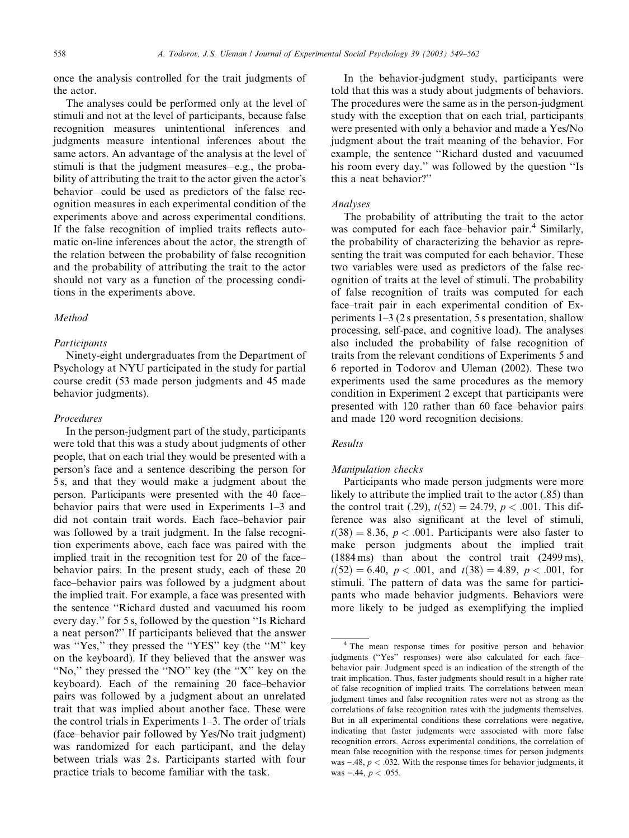once the analysis controlled for the trait judgments of the actor.

The analyses could be performed only at the level of stimuli and not at the level of participants, because false recognition measures unintentional inferences and judgments measure intentional inferences about the same actors. An advantage of the analysis at the level of stimuli is that the judgment measures—e.g., the probability of attributing the trait to the actor given the actor's behavior—could be used as predictors of the false recognition measures in each experimental condition of the experiments above and across experimental conditions. If the false recognition of implied traits reflects automatic on-line inferences about the actor, the strength of the relation between the probability of false recognition and the probability of attributing the trait to the actor should not vary as a function of the processing conditions in the experiments above.

#### Method

# Participants

Ninety-eight undergraduates from the Department of Psychology at NYU participated in the study for partial course credit (53 made person judgments and 45 made behavior judgments).

#### Procedures

In the person-judgment part of the study, participants were told that this was a study about judgments of other people, that on each trial they would be presented with a person's face and a sentence describing the person for 5 s, and that they would make a judgment about the person. Participants were presented with the 40 face– behavior pairs that were used in Experiments 1–3 and did not contain trait words. Each face–behavior pair was followed by a trait judgment. In the false recognition experiments above, each face was paired with the implied trait in the recognition test for 20 of the face– behavior pairs. In the present study, each of these 20 face–behavior pairs was followed by a judgment about the implied trait. For example, a face was presented with the sentence ''Richard dusted and vacuumed his room every day.'' for 5 s, followed by the question ''Is Richard a neat person?'' If participants believed that the answer was "Yes," they pressed the "YES" key (the "M" key on the keyboard). If they believed that the answer was ''No,'' they pressed the ''NO'' key (the ''X'' key on the keyboard). Each of the remaining 20 face–behavior pairs was followed by a judgment about an unrelated trait that was implied about another face. These were the control trials in Experiments 1–3. The order of trials (face–behavior pair followed by Yes/No trait judgment) was randomized for each participant, and the delay between trials was 2s. Participants started with four practice trials to become familiar with the task.

In the behavior-judgment study, participants were told that this was a study about judgments of behaviors. The procedures were the same as in the person-judgment study with the exception that on each trial, participants were presented with only a behavior and made a Yes/No judgment about the trait meaning of the behavior. For example, the sentence ''Richard dusted and vacuumed his room every day.'' was followed by the question ''Is this a neat behavior?''

## Analyses

The probability of attributing the trait to the actor was computed for each face–behavior pair.<sup>4</sup> Similarly, the probability of characterizing the behavior as representing the trait was computed for each behavior. These two variables were used as predictors of the false recognition of traits at the level of stimuli. The probability of false recognition of traits was computed for each face–trait pair in each experimental condition of Experiments 1–3 (2 s presentation, 5 s presentation, shallow processing, self-pace, and cognitive load). The analyses also included the probability of false recognition of traits from the relevant conditions of Experiments 5 and 6 reported in Todorov and Uleman (2002). These two experiments used the same procedures as the memory condition in Experiment 2 except that participants were presented with 120 rather than 60 face–behavior pairs and made 120 word recognition decisions.

# Results

# Manipulation checks

Participants who made person judgments were more likely to attribute the implied trait to the actor (.85) than the control trait (.29),  $t(52) = 24.79$ ,  $p < .001$ . This difference was also significant at the level of stimuli,  $t(38) = 8.36$ ,  $p < .001$ . Participants were also faster to make person judgments about the implied trait (1884 ms) than about the control trait (2499 ms),  $t(52) = 6.40, p < .001, \text{ and } t(38) = 4.89, p < .001, \text{ for }$ stimuli. The pattern of data was the same for participants who made behavior judgments. Behaviors were more likely to be judged as exemplifying the implied

<sup>4</sup> The mean response times for positive person and behavior judgments (''Yes'' responses) were also calculated for each face– behavior pair. Judgment speed is an indication of the strength of the trait implication. Thus, faster judgments should result in a higher rate of false recognition of implied traits. The correlations between mean judgment times and false recognition rates were not as strong as the correlations of false recognition rates with the judgments themselves. But in all experimental conditions these correlations were negative, indicating that faster judgments were associated with more false recognition errors. Across experimental conditions, the correlation of mean false recognition with the response times for person judgments was  $-48$ ,  $p < .032$ . With the response times for behavior judgments, it was  $-.44, p < .055$ .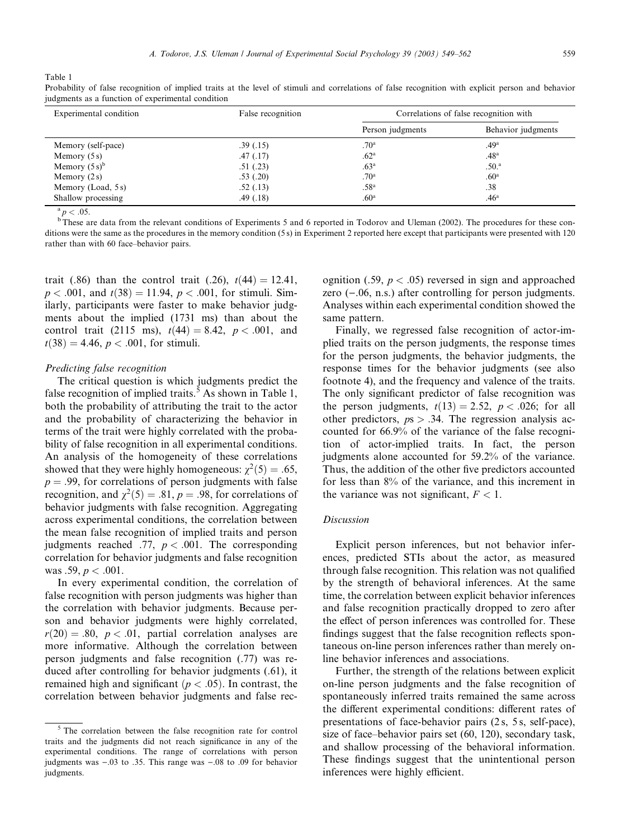Table 1

| Experimental condition | False recognition | Correlations of false recognition with |                    |
|------------------------|-------------------|----------------------------------------|--------------------|
|                        |                   | Person judgments                       | Behavior judgments |
| Memory (self-pace)     | .39(.15)          | .70 <sup>a</sup>                       | .49 <sup>a</sup>   |
| Memory $(5s)$          | .47(.17)          | .62 <sup>a</sup>                       | .48 <sup>a</sup>   |
| Memory $(5s)^b$        | .51(.23)          | .63 <sup>a</sup>                       | .50 <sup>a</sup>   |
| Memory $(2 s)$         | .53(.20)          | .70 <sup>a</sup>                       | .60 <sup>a</sup>   |
| Memory (Load, 5s)      | .52(.13)          | .58 <sup>a</sup>                       | .38                |
| Shallow processing     | .49(0.18)         | .60 <sup>a</sup>                       | .46 <sup>a</sup>   |

Probability of false recognition of implied traits at the level of stimuli and correlations of false recognition with explicit person and behavior judgments as a function of experimental condition

 $a_p < .05$ .<br><sup>b</sup>These are data from the relevant conditions of Experiments 5 and 6 reported in Todorov and Uleman (2002). The procedures for these conditions were the same as the procedures in the memory condition (5 s) in Experiment 2 reported here except that participants were presented with 120 rather than with 60 face–behavior pairs.

trait (.86) than the control trait (.26),  $t(44) = 12.41$ ,  $p < .001$ , and  $t(38) = 11.94$ ,  $p < .001$ , for stimuli. Similarly, participants were faster to make behavior judgments about the implied (1731 ms) than about the control trait (2115 ms),  $t(44) = 8.42$ ,  $p < .001$ , and  $t(38) = 4.46$ ,  $p < .001$ , for stimuli.

#### Predicting false recognition

The critical question is which judgments predict the false recognition of implied traits.<sup>5</sup> As shown in Table 1, both the probability of attributing the trait to the actor and the probability of characterizing the behavior in terms of the trait were highly correlated with the probability of false recognition in all experimental conditions. An analysis of the homogeneity of these correlations showed that they were highly homogeneous:  $\chi^2(5) = .65$ ,  $p = .99$ , for correlations of person judgments with false recognition, and  $\gamma^2(5) = .81$ ,  $p = .98$ , for correlations of behavior judgments with false recognition. Aggregating across experimental conditions, the correlation between the mean false recognition of implied traits and person judgments reached .77,  $p < .001$ . The corresponding correlation for behavior judgments and false recognition was .59,  $p < .001$ .

In every experimental condition, the correlation of false recognition with person judgments was higher than the correlation with behavior judgments. Because person and behavior judgments were highly correlated,  $r(20) = .80$ ,  $p < .01$ , partial correlation analyses are more informative. Although the correlation between person judgments and false recognition (.77) was reduced after controlling for behavior judgments (.61), it remained high and significant  $(p < .05)$ . In contrast, the correlation between behavior judgments and false recognition (.59,  $p < .05$ ) reversed in sign and approached zero  $(-.06, n.s.)$  after controlling for person judgments. Analyses within each experimental condition showed the same pattern.

Finally, we regressed false recognition of actor-implied traits on the person judgments, the response times for the person judgments, the behavior judgments, the response times for the behavior judgments (see also footnote 4), and the frequency and valence of the traits. The only significant predictor of false recognition was the person judgments,  $t(13) = 2.52$ ,  $p < .026$ ; for all other predictors,  $p_s > .34$ . The regression analysis accounted for 66.9% of the variance of the false recognition of actor-implied traits. In fact, the person judgments alone accounted for 59.2% of the variance. Thus, the addition of the other five predictors accounted for less than 8% of the variance, and this increment in the variance was not significant,  $F < 1$ .

# Discussion

Explicit person inferences, but not behavior inferences, predicted STIs about the actor, as measured through false recognition. This relation was not qualified by the strength of behavioral inferences. At the same time, the correlation between explicit behavior inferences and false recognition practically dropped to zero after the effect of person inferences was controlled for. These findings suggest that the false recognition reflects spontaneous on-line person inferences rather than merely online behavior inferences and associations.

Further, the strength of the relations between explicit on-line person judgments and the false recognition of spontaneously inferred traits remained the same across the different experimental conditions: different rates of presentations of face-behavior pairs (2 s, 5 s, self-pace), size of face–behavior pairs set (60, 120), secondary task, and shallow processing of the behavioral information. These findings suggest that the unintentional person inferences were highly efficient.

<sup>5</sup> The correlation between the false recognition rate for control traits and the judgments did not reach significance in any of the experimental conditions. The range of correlations with person judgments was  $-.03$  to .35. This range was  $-.08$  to .09 for behavior judgments.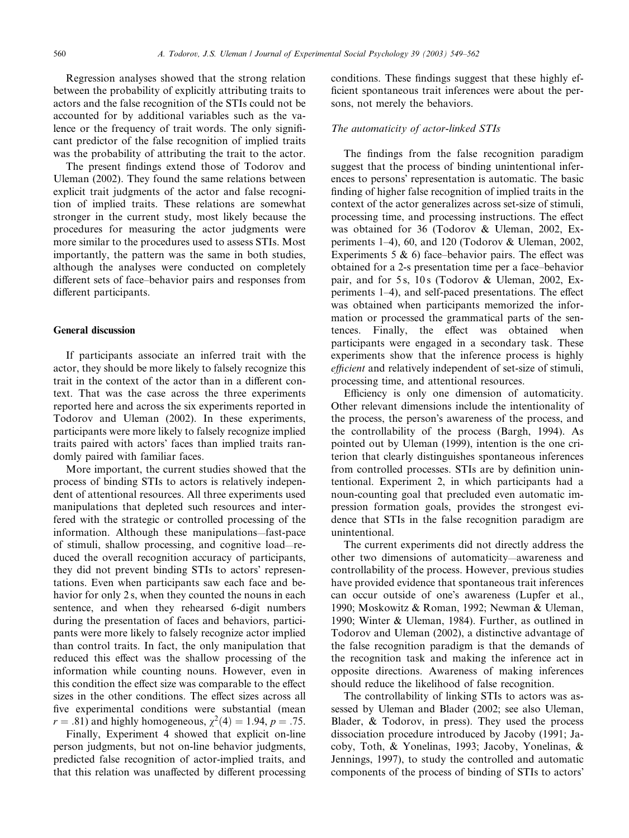Regression analyses showed that the strong relation between the probability of explicitly attributing traits to actors and the false recognition of the STIs could not be accounted for by additional variables such as the valence or the frequency of trait words. The only significant predictor of the false recognition of implied traits was the probability of attributing the trait to the actor.

The present findings extend those of Todorov and Uleman (2002). They found the same relations between explicit trait judgments of the actor and false recognition of implied traits. These relations are somewhat stronger in the current study, most likely because the procedures for measuring the actor judgments were more similar to the procedures used to assess STIs. Most importantly, the pattern was the same in both studies, although the analyses were conducted on completely different sets of face–behavior pairs and responses from different participants.

# General discussion

If participants associate an inferred trait with the actor, they should be more likely to falsely recognize this trait in the context of the actor than in a different context. That was the case across the three experiments reported here and across the six experiments reported in Todorov and Uleman (2002). In these experiments, participants were more likely to falsely recognize implied traits paired with actors' faces than implied traits randomly paired with familiar faces.

More important, the current studies showed that the process of binding STIs to actors is relatively independent of attentional resources. All three experiments used manipulations that depleted such resources and interfered with the strategic or controlled processing of the information. Although these manipulations—fast-pace of stimuli, shallow processing, and cognitive load—reduced the overall recognition accuracy of participants, they did not prevent binding STIs to actors' representations. Even when participants saw each face and behavior for only 2s, when they counted the nouns in each sentence, and when they rehearsed 6-digit numbers during the presentation of faces and behaviors, participants were more likely to falsely recognize actor implied than control traits. In fact, the only manipulation that reduced this effect was the shallow processing of the information while counting nouns. However, even in this condition the effect size was comparable to the effect sizes in the other conditions. The effect sizes across all five experimental conditions were substantial (mean  $r = .81$ ) and highly homogeneous,  $\chi^2(4) = 1.94$ ,  $p = .75$ .

Finally, Experiment 4 showed that explicit on-line person judgments, but not on-line behavior judgments, predicted false recognition of actor-implied traits, and that this relation was unaffected by different processing conditions. These findings suggest that these highly efficient spontaneous trait inferences were about the persons, not merely the behaviors.

# The automaticity of actor-linked STIs

The findings from the false recognition paradigm suggest that the process of binding unintentional inferences to persons' representation is automatic. The basic finding of higher false recognition of implied traits in the context of the actor generalizes across set-size of stimuli, processing time, and processing instructions. The effect was obtained for 36 (Todorov & Uleman, 2002, Experiments 1–4), 60, and 120 (Todorov  $&$  Uleman, 2002, Experiments 5  $\&$  6) face–behavior pairs. The effect was obtained for a 2-s presentation time per a face–behavior pair, and for 5s, 10s (Todorov & Uleman, 2002, Experiments 1–4), and self-paced presentations. The effect was obtained when participants memorized the information or processed the grammatical parts of the sentences. Finally, the effect was obtained when participants were engaged in a secondary task. These experiments show that the inference process is highly efficient and relatively independent of set-size of stimuli, processing time, and attentional resources.

Efficiency is only one dimension of automaticity. Other relevant dimensions include the intentionality of the process, the person's awareness of the process, and the controllability of the process (Bargh, 1994). As pointed out by Uleman (1999), intention is the one criterion that clearly distinguishes spontaneous inferences from controlled processes. STIs are by definition unintentional. Experiment 2, in which participants had a noun-counting goal that precluded even automatic impression formation goals, provides the strongest evidence that STIs in the false recognition paradigm are unintentional.

The current experiments did not directly address the other two dimensions of automaticity—awareness and controllability of the process. However, previous studies have provided evidence that spontaneous trait inferences can occur outside of one's awareness (Lupfer et al., 1990; Moskowitz & Roman, 1992; Newman & Uleman, 1990; Winter & Uleman, 1984). Further, as outlined in Todorov and Uleman (2002), a distinctive advantage of the false recognition paradigm is that the demands of the recognition task and making the inference act in opposite directions. Awareness of making inferences should reduce the likelihood of false recognition.

The controllability of linking STIs to actors was assessed by Uleman and Blader (2002; see also Uleman, Blader, & Todorov, in press). They used the process dissociation procedure introduced by Jacoby (1991; Jacoby, Toth, & Yonelinas, 1993; Jacoby, Yonelinas, & Jennings, 1997), to study the controlled and automatic components of the process of binding of STIs to actors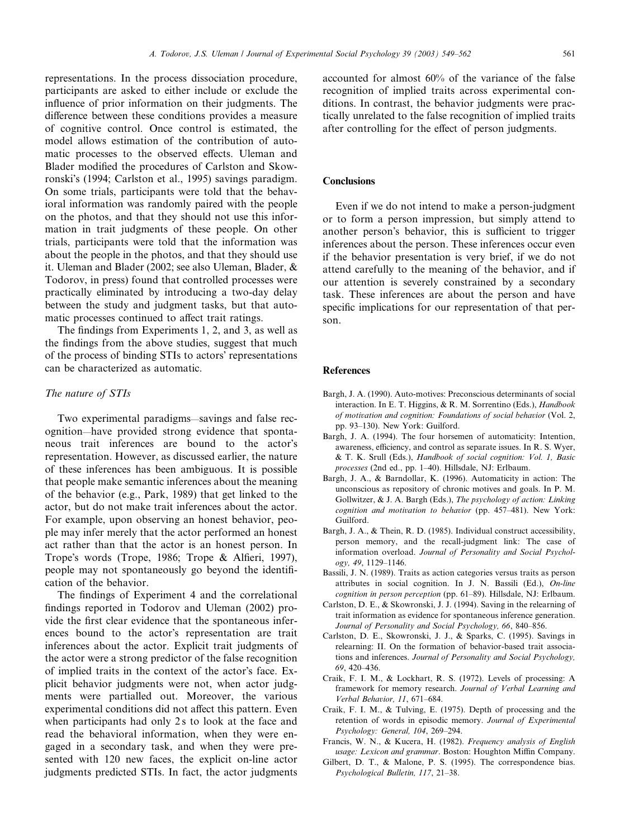representations. In the process dissociation procedure, participants are asked to either include or exclude the influence of prior information on their judgments. The difference between these conditions provides a measure of cognitive control. Once control is estimated, the model allows estimation of the contribution of automatic processes to the observed effects. Uleman and Blader modified the procedures of Carlston and Skowronskis (1994; Carlston et al., 1995) savings paradigm. On some trials, participants were told that the behavioral information was randomly paired with the people on the photos, and that they should not use this information in trait judgments of these people. On other trials, participants were told that the information was about the people in the photos, and that they should use it. Uleman and Blader (2002; see also Uleman, Blader, & Todorov, in press) found that controlled processes were practically eliminated by introducing a two-day delay between the study and judgment tasks, but that automatic processes continued to affect trait ratings.

The findings from Experiments 1, 2, and 3, as well as the findings from the above studies, suggest that much of the process of binding STIs to actors' representations can be characterized as automatic.

# The nature of STIs

Two experimental paradigms—savings and false recognition—have provided strong evidence that spontaneous trait inferences are bound to the actor's representation. However, as discussed earlier, the nature of these inferences has been ambiguous. It is possible that people make semantic inferences about the meaning of the behavior (e.g., Park, 1989) that get linked to the actor, but do not make trait inferences about the actor. For example, upon observing an honest behavior, people may infer merely that the actor performed an honest act rather than that the actor is an honest person. In Trope's words (Trope, 1986; Trope & Alfieri, 1997), people may not spontaneously go beyond the identification of the behavior.

The findings of Experiment 4 and the correlational findings reported in Todorov and Uleman (2002) provide the first clear evidence that the spontaneous inferences bound to the actor's representation are trait inferences about the actor. Explicit trait judgments of the actor were a strong predictor of the false recognition of implied traits in the context of the actor's face. Explicit behavior judgments were not, when actor judgments were partialled out. Moreover, the various experimental conditions did not affect this pattern. Even when participants had only 2s to look at the face and read the behavioral information, when they were engaged in a secondary task, and when they were presented with 120 new faces, the explicit on-line actor judgments predicted STIs. In fact, the actor judgments

accounted for almost 60% of the variance of the false recognition of implied traits across experimental conditions. In contrast, the behavior judgments were practically unrelated to the false recognition of implied traits after controlling for the effect of person judgments.

#### **Conclusions**

Even if we do not intend to make a person-judgment or to form a person impression, but simply attend to another person's behavior, this is sufficient to trigger inferences about the person. These inferences occur even if the behavior presentation is very brief, if we do not attend carefully to the meaning of the behavior, and if our attention is severely constrained by a secondary task. These inferences are about the person and have specific implications for our representation of that person.

#### References

- Bargh, J. A. (1990). Auto-motives: Preconscious determinants of social interaction. In E. T. Higgins, & R. M. Sorrentino (Eds.), Handbook of motivation and cognition: Foundations of social behavior (Vol. 2, pp. 93–130). New York: Guilford.
- Bargh, J. A. (1994). The four horsemen of automaticity: Intention, awareness, efficiency, and control as separate issues. In R. S. Wyer, & T. K. Srull (Eds.), Handbook of social cognition: Vol. 1, Basic processes (2nd ed., pp. 1–40). Hillsdale, NJ: Erlbaum.
- Bargh, J. A., & Barndollar, K. (1996). Automaticity in action: The unconscious as repository of chronic motives and goals. In P. M. Gollwitzer, & J. A. Bargh (Eds.), The psychology of action: Linking cognition and motivation to behavior (pp. 457–481). New York: Guilford.
- Bargh, J. A., & Thein, R. D. (1985). Individual construct accessibility, person memory, and the recall-judgment link: The case of information overload. Journal of Personality and Social Psychology, 49, 1129–1146.
- Bassili, J. N. (1989). Traits as action categories versus traits as person attributes in social cognition. In J. N. Bassili (Ed.), On-line cognition in person perception (pp. 61–89). Hillsdale, NJ: Erlbaum.
- Carlston, D. E., & Skowronski, J. J. (1994). Saving in the relearning of trait information as evidence for spontaneous inference generation. Journal of Personality and Social Psychology, 66, 840–856.
- Carlston, D. E., Skowronski, J. J., & Sparks, C. (1995). Savings in relearning: II. On the formation of behavior-based trait associations and inferences. Journal of Personality and Social Psychology, 69, 420–436.
- Craik, F. I. M., & Lockhart, R. S. (1972). Levels of processing: A framework for memory research. Journal of Verbal Learning and Verbal Behavior, 11, 671–684.
- Craik, F. I. M., & Tulving, E. (1975). Depth of processing and the retention of words in episodic memory. Journal of Experimental Psychology: General, 104, 269–294.
- Francis, W. N., & Kucera, H. (1982). Frequency analysis of English usage: Lexicon and grammar. Boston: Houghton Miffin Company.
- Gilbert, D. T., & Malone, P. S. (1995). The correspondence bias. Psychological Bulletin, 117, 21–38.